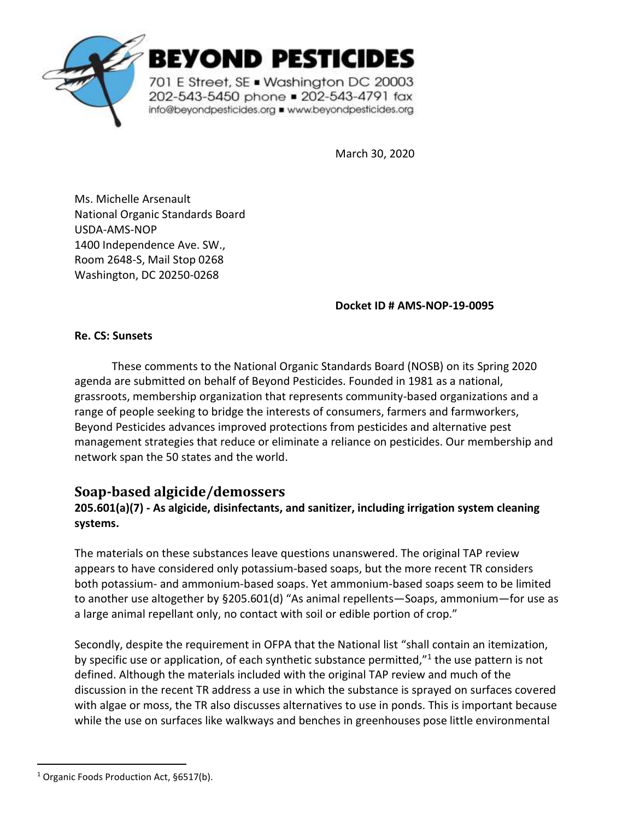

EYOND PESTICIDES

701 E Street, SE . Washington DC 20003 202-543-5450 phone = 202-543-4791 fax info@beyondpesticides.org = www.beyondpesticides.org

March 30, 2020

Ms. Michelle Arsenault National Organic Standards Board USDA-AMS-NOP 1400 Independence Ave. SW., Room 2648-S, Mail Stop 0268 Washington, DC 20250-0268

**Docket ID # AMS-NOP-19-0095**

**Re. CS: Sunsets**

These comments to the National Organic Standards Board (NOSB) on its Spring 2020 agenda are submitted on behalf of Beyond Pesticides. Founded in 1981 as a national, grassroots, membership organization that represents community-based organizations and a range of people seeking to bridge the interests of consumers, farmers and farmworkers, Beyond Pesticides advances improved protections from pesticides and alternative pest management strategies that reduce or eliminate a reliance on pesticides. Our membership and network span the 50 states and the world.

# **Soap-based algicide/demossers**

### **205.601(a)(7) - As algicide, disinfectants, and sanitizer, including irrigation system cleaning systems.**

The materials on these substances leave questions unanswered. The original TAP review appears to have considered only potassium-based soaps, but the more recent TR considers both potassium- and ammonium-based soaps. Yet ammonium-based soaps seem to be limited to another use altogether by §205.601(d) "As animal repellents—Soaps, ammonium—for use as a large animal repellant only, no contact with soil or edible portion of crop."

Secondly, despite the requirement in OFPA that the National list "shall contain an itemization, by specific use or application, of each synthetic substance permitted,"<sup>1</sup> the use pattern is not defined. Although the materials included with the original TAP review and much of the discussion in the recent TR address a use in which the substance is sprayed on surfaces covered with algae or moss, the TR also discusses alternatives to use in ponds. This is important because while the use on surfaces like walkways and benches in greenhouses pose little environmental

<sup>&</sup>lt;sup>1</sup> Organic Foods Production Act, §6517(b).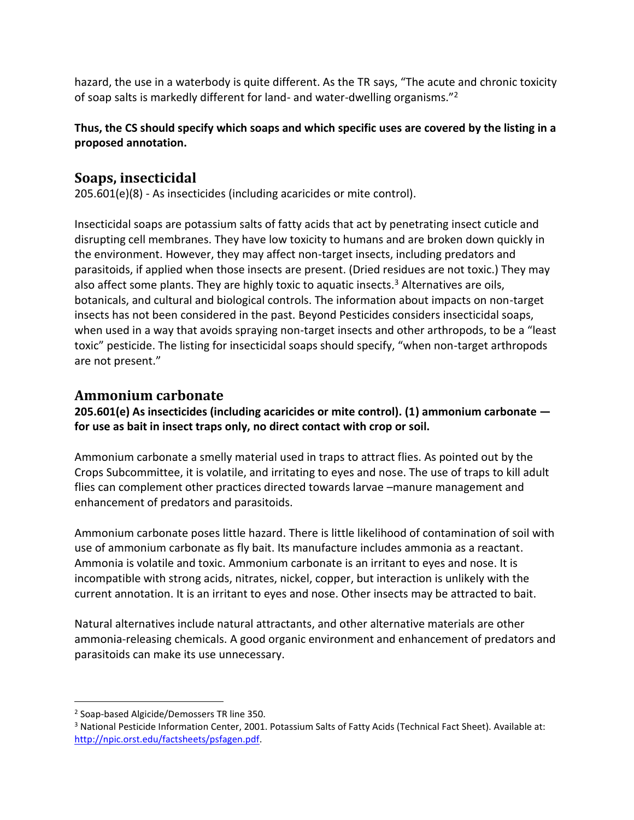hazard, the use in a waterbody is quite different. As the TR says, "The acute and chronic toxicity of soap salts is markedly different for land- and water-dwelling organisms."<sup>2</sup>

#### **Thus, the CS should specify which soaps and which specific uses are covered by the listing in a proposed annotation.**

# **Soaps, insecticidal**

205.601(e)(8) - As insecticides (including acaricides or mite control).

Insecticidal soaps are potassium salts of fatty acids that act by penetrating insect cuticle and disrupting cell membranes. They have low toxicity to humans and are broken down quickly in the environment. However, they may affect non-target insects, including predators and parasitoids, if applied when those insects are present. (Dried residues are not toxic.) They may also affect some plants. They are highly toxic to aquatic insects.<sup>3</sup> Alternatives are oils, botanicals, and cultural and biological controls. The information about impacts on non-target insects has not been considered in the past. Beyond Pesticides considers insecticidal soaps, when used in a way that avoids spraying non-target insects and other arthropods, to be a "least toxic" pesticide. The listing for insecticidal soaps should specify, "when non-target arthropods are not present."

## **Ammonium carbonate**

**205.601(e) As insecticides (including acaricides or mite control). (1) ammonium carbonate for use as bait in insect traps only, no direct contact with crop or soil.** 

Ammonium carbonate a smelly material used in traps to attract flies. As pointed out by the Crops Subcommittee, it is volatile, and irritating to eyes and nose. The use of traps to kill adult flies can complement other practices directed towards larvae –manure management and enhancement of predators and parasitoids.

Ammonium carbonate poses little hazard. There is little likelihood of contamination of soil with use of ammonium carbonate as fly bait. Its manufacture includes ammonia as a reactant. Ammonia is volatile and toxic. Ammonium carbonate is an irritant to eyes and nose. It is incompatible with strong acids, nitrates, nickel, copper, but interaction is unlikely with the current annotation. It is an irritant to eyes and nose. Other insects may be attracted to bait.

Natural alternatives include natural attractants, and other alternative materials are other ammonia-releasing chemicals. A good organic environment and enhancement of predators and parasitoids can make its use unnecessary.

<sup>2</sup> Soap-based Algicide/Demossers TR line 350.

<sup>&</sup>lt;sup>3</sup> National Pesticide Information Center, 2001. Potassium Salts of Fatty Acids (Technical Fact Sheet). Available at: [http://npic.orst.edu/factsheets/psfagen.pdf.](http://npic.orst.edu/factsheets/psfagen.pdf)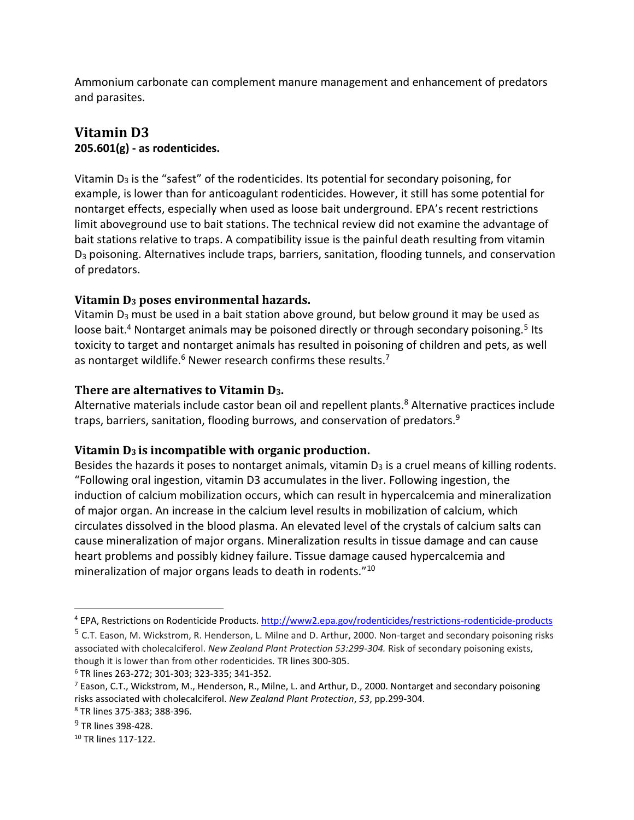Ammonium carbonate can complement manure management and enhancement of predators and parasites.

## **Vitamin D3 205.601(g) - as rodenticides.**

Vitamin  $D_3$  is the "safest" of the rodenticides. Its potential for secondary poisoning, for example, is lower than for anticoagulant rodenticides. However, it still has some potential for nontarget effects, especially when used as loose bait underground. EPA's recent restrictions limit aboveground use to bait stations. The technical review did not examine the advantage of bait stations relative to traps. A compatibility issue is the painful death resulting from vitamin D<sup>3</sup> poisoning. Alternatives include traps, barriers, sanitation, flooding tunnels, and conservation of predators.

### **Vitamin D<sup>3</sup> poses environmental hazards.**

Vitamin D<sub>3</sub> must be used in a bait station above ground, but below ground it may be used as loose bait.<sup>4</sup> Nontarget animals may be poisoned directly or through secondary poisoning.<sup>5</sup> Its toxicity to target and nontarget animals has resulted in poisoning of children and pets, as well as nontarget wildlife.<sup>6</sup> Newer research confirms these results.<sup>7</sup>

#### **There are alternatives to Vitamin D3.**

Alternative materials include castor bean oil and repellent plants.<sup>8</sup> Alternative practices include traps, barriers, sanitation, flooding burrows, and conservation of predators.<sup>9</sup>

### **Vitamin D3 is incompatible with organic production.**

Besides the hazards it poses to nontarget animals, vitamin  $D_3$  is a cruel means of killing rodents. "Following oral ingestion, vitamin D3 accumulates in the liver. Following ingestion, the induction of calcium mobilization occurs, which can result in hypercalcemia and mineralization of major organ. An increase in the calcium level results in mobilization of calcium, which circulates dissolved in the blood plasma. An elevated level of the crystals of calcium salts can cause mineralization of major organs. Mineralization results in tissue damage and can cause heart problems and possibly kidney failure. Tissue damage caused hypercalcemia and mineralization of major organs leads to death in rodents."<sup>10</sup>

<sup>4</sup> EPA, Restrictions on Rodenticide Products[. http://www2.epa.gov/rodenticides/restrictions-rodenticide-products](http://www2.epa.gov/rodenticides/restrictions-rodenticide-products)

<sup>5</sup> C.T. Eason, M. Wickstrom, R. Henderson, L. Milne and D. Arthur, 2000. Non-target and secondary poisoning risks associated with cholecalciferol. *New Zealand Plant Protection 53:299-304.* Risk of secondary poisoning exists, though it is lower than from other rodenticides. TR lines 300-305.

<sup>6</sup> TR lines 263-272; 301-303; 323-335; 341-352.

 $^7$  Eason, C.T., Wickstrom, M., Henderson, R., Milne, L. and Arthur, D., 2000. Nontarget and secondary poisoning risks associated with cholecalciferol. *New Zealand Plant Protection*, *53*, pp.299-304.

<sup>8</sup> TR lines 375-383; 388-396.

<sup>&</sup>lt;sup>9</sup> TR lines 398-428.

<sup>10</sup> TR lines 117-122.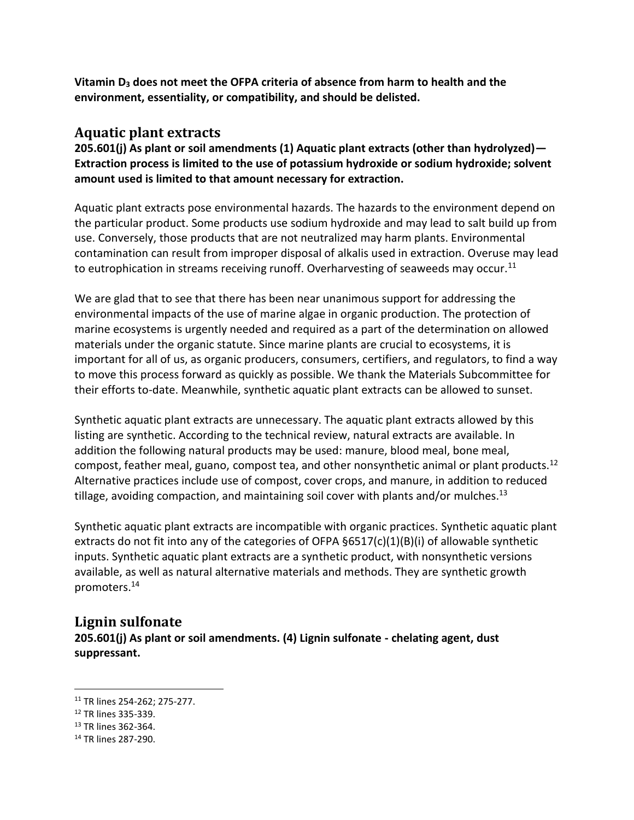**Vitamin D<sup>3</sup> does not meet the OFPA criteria of absence from harm to health and the environment, essentiality, or compatibility, and should be delisted.**

### **Aquatic plant extracts**

**205.601(j) As plant or soil amendments (1) Aquatic plant extracts (other than hydrolyzed)— Extraction process is limited to the use of potassium hydroxide or sodium hydroxide; solvent amount used is limited to that amount necessary for extraction.** 

Aquatic plant extracts pose environmental hazards. The hazards to the environment depend on the particular product. Some products use sodium hydroxide and may lead to salt build up from use. Conversely, those products that are not neutralized may harm plants. Environmental contamination can result from improper disposal of alkalis used in extraction. Overuse may lead to eutrophication in streams receiving runoff. Overharvesting of seaweeds may occur.<sup>11</sup>

We are glad that to see that there has been near unanimous support for addressing the environmental impacts of the use of marine algae in organic production. The protection of marine ecosystems is urgently needed and required as a part of the determination on allowed materials under the organic statute. Since marine plants are crucial to ecosystems, it is important for all of us, as organic producers, consumers, certifiers, and regulators, to find a way to move this process forward as quickly as possible. We thank the Materials Subcommittee for their efforts to-date. Meanwhile, synthetic aquatic plant extracts can be allowed to sunset.

Synthetic aquatic plant extracts are unnecessary. The aquatic plant extracts allowed by this listing are synthetic. According to the technical review, natural extracts are available. In addition the following natural products may be used: manure, blood meal, bone meal, compost, feather meal, guano, compost tea, and other nonsynthetic animal or plant products.<sup>12</sup> Alternative practices include use of compost, cover crops, and manure, in addition to reduced tillage, avoiding compaction, and maintaining soil cover with plants and/or mulches.<sup>13</sup>

Synthetic aquatic plant extracts are incompatible with organic practices. Synthetic aquatic plant extracts do not fit into any of the categories of OFPA  $§6517(c)(1)(B)(i)$  of allowable synthetic inputs. Synthetic aquatic plant extracts are a synthetic product, with nonsynthetic versions available, as well as natural alternative materials and methods. They are synthetic growth promoters.<sup>14</sup>

## **Lignin sulfonate**

**205.601(j) As plant or soil amendments. (4) Lignin sulfonate - chelating agent, dust suppressant.** 

- <sup>12</sup> TR lines 335-339.
- <sup>13</sup> TR lines 362-364.

<sup>11</sup> TR lines 254-262; 275-277.

<sup>14</sup> TR lines 287-290.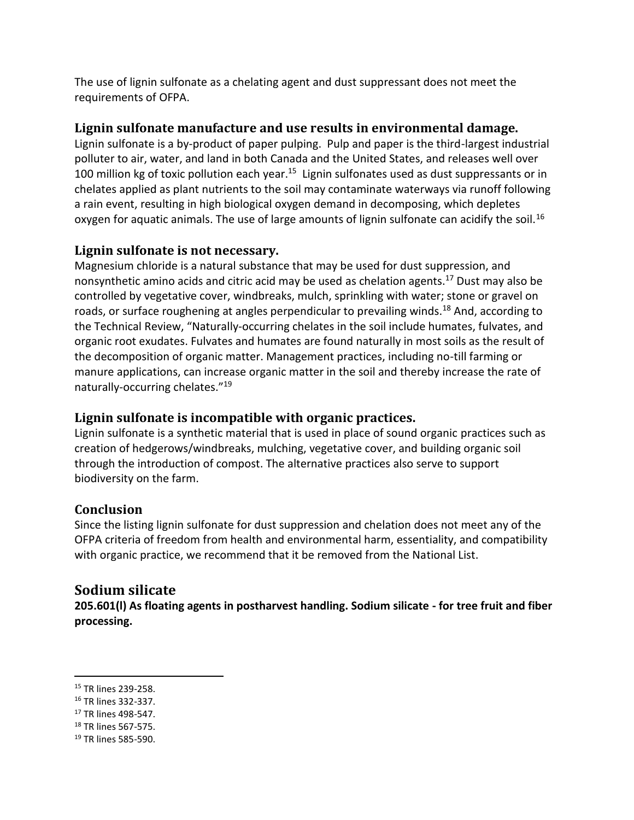The use of lignin sulfonate as a chelating agent and dust suppressant does not meet the requirements of OFPA.

#### **Lignin sulfonate manufacture and use results in environmental damage.**

Lignin sulfonate is a by-product of paper pulping. Pulp and paper is the third-largest industrial polluter to air, water, and land in both Canada and the United States, and releases well over 100 million kg of toxic pollution each year.<sup>15</sup> Lignin sulfonates used as dust suppressants or in chelates applied as plant nutrients to the soil may contaminate waterways via runoff following a rain event, resulting in high biological oxygen demand in decomposing, which depletes oxygen for aquatic animals. The use of large amounts of lignin sulfonate can acidify the soil.<sup>16</sup>

### **Lignin sulfonate is not necessary.**

Magnesium chloride is a natural substance that may be used for dust suppression, and nonsynthetic amino acids and citric acid may be used as chelation agents.<sup>17</sup> Dust may also be controlled by vegetative cover, windbreaks, mulch, sprinkling with water; stone or gravel on roads, or surface roughening at angles perpendicular to prevailing winds.<sup>18</sup> And, according to the Technical Review, "Naturally-occurring chelates in the soil include humates, fulvates, and organic root exudates. Fulvates and humates are found naturally in most soils as the result of the decomposition of organic matter. Management practices, including no-till farming or manure applications, can increase organic matter in the soil and thereby increase the rate of naturally-occurring chelates."<sup>19</sup>

### **Lignin sulfonate is incompatible with organic practices.**

Lignin sulfonate is a synthetic material that is used in place of sound organic practices such as creation of hedgerows/windbreaks, mulching, vegetative cover, and building organic soil through the introduction of compost. The alternative practices also serve to support biodiversity on the farm.

### **Conclusion**

Since the listing lignin sulfonate for dust suppression and chelation does not meet any of the OFPA criteria of freedom from health and environmental harm, essentiality, and compatibility with organic practice, we recommend that it be removed from the National List.

## **Sodium silicate**

**205.601(l) As floating agents in postharvest handling. Sodium silicate - for tree fruit and fiber processing.** 

<sup>15</sup> TR lines 239-258.

<sup>16</sup> TR lines 332-337.

<sup>17</sup> TR lines 498-547.

<sup>18</sup> TR lines 567-575.

<sup>19</sup> TR lines 585-590.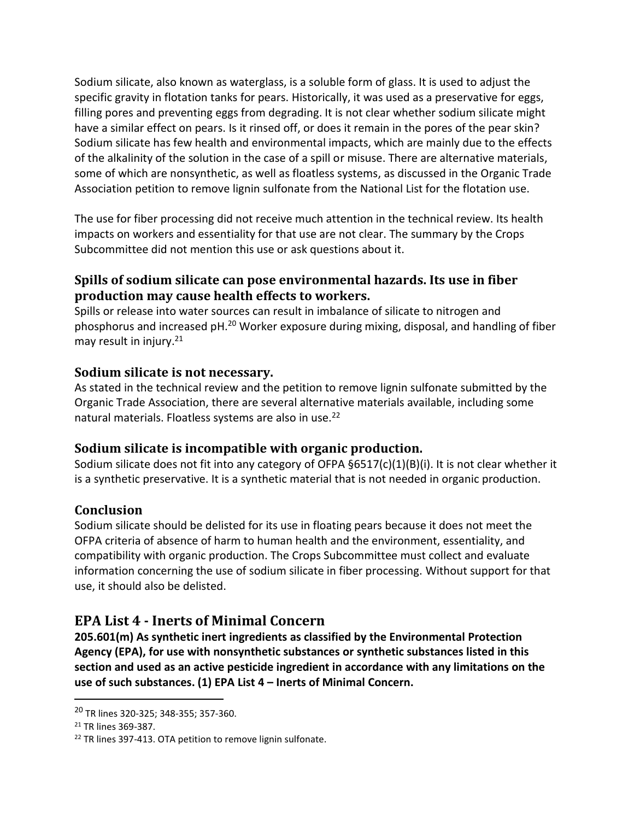Sodium silicate, also known as waterglass, is a soluble form of glass. It is used to adjust the specific gravity in flotation tanks for pears. Historically, it was used as a preservative for eggs, filling pores and preventing eggs from degrading. It is not clear whether sodium silicate might have a similar effect on pears. Is it rinsed off, or does it remain in the pores of the pear skin? Sodium silicate has few health and environmental impacts, which are mainly due to the effects of the alkalinity of the solution in the case of a spill or misuse. There are alternative materials, some of which are nonsynthetic, as well as floatless systems, as discussed in the Organic Trade Association petition to remove lignin sulfonate from the National List for the flotation use.

The use for fiber processing did not receive much attention in the technical review. Its health impacts on workers and essentiality for that use are not clear. The summary by the Crops Subcommittee did not mention this use or ask questions about it.

### **Spills of sodium silicate can pose environmental hazards. Its use in fiber production may cause health effects to workers.**

Spills or release into water sources can result in imbalance of silicate to nitrogen and phosphorus and increased pH.<sup>20</sup> Worker exposure during mixing, disposal, and handling of fiber may result in injury.<sup>21</sup>

### **Sodium silicate is not necessary.**

As stated in the technical review and the petition to remove lignin sulfonate submitted by the Organic Trade Association, there are several alternative materials available, including some natural materials. Floatless systems are also in use.<sup>22</sup>

## **Sodium silicate is incompatible with organic production.**

Sodium silicate does not fit into any category of OFPA §6517(c)(1)(B)(i). It is not clear whether it is a synthetic preservative. It is a synthetic material that is not needed in organic production.

### **Conclusion**

Sodium silicate should be delisted for its use in floating pears because it does not meet the OFPA criteria of absence of harm to human health and the environment, essentiality, and compatibility with organic production. The Crops Subcommittee must collect and evaluate information concerning the use of sodium silicate in fiber processing. Without support for that use, it should also be delisted.

# **EPA List 4 - Inerts of Minimal Concern**

**205.601(m) As synthetic inert ingredients as classified by the Environmental Protection Agency (EPA), for use with nonsynthetic substances or synthetic substances listed in this section and used as an active pesticide ingredient in accordance with any limitations on the use of such substances. (1) EPA List 4 – Inerts of Minimal Concern.**

<sup>20</sup> TR lines 320-325; 348-355; 357-360.

<sup>21</sup> TR lines 369-387.

<sup>&</sup>lt;sup>22</sup> TR lines 397-413. OTA petition to remove lignin sulfonate.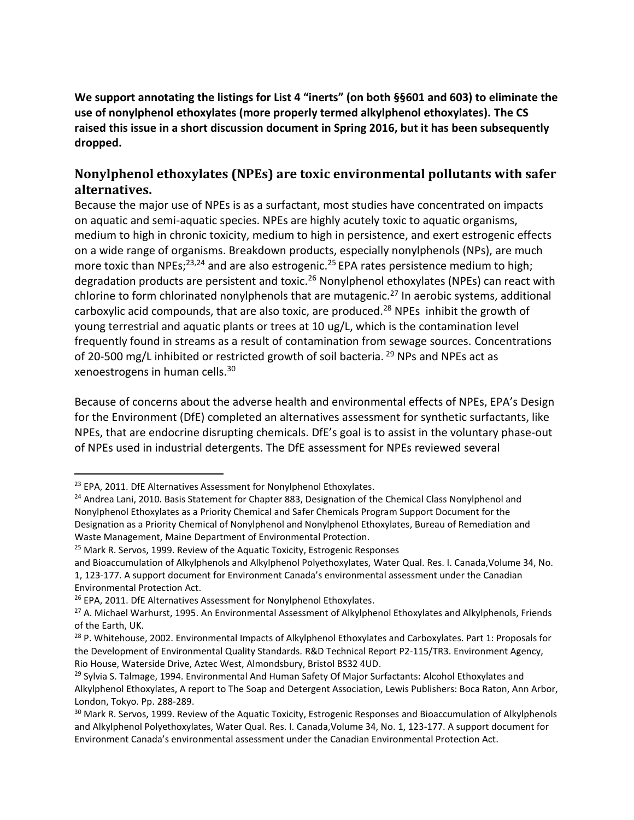**We support annotating the listings for List 4 "inerts" (on both §§601 and 603) to eliminate the use of nonylphenol ethoxylates (more properly termed alkylphenol ethoxylates). The CS raised this issue in a short discussion document in Spring 2016, but it has been subsequently dropped.** 

## **Nonylphenol ethoxylates (NPEs) are toxic environmental pollutants with safer alternatives.**

Because the major use of NPEs is as a surfactant, most studies have concentrated on impacts on aquatic and semi-aquatic species. NPEs are highly acutely toxic to aquatic organisms, medium to high in chronic toxicity, medium to high in persistence, and exert estrogenic effects on a wide range of organisms. Breakdown products, especially nonylphenols (NPs), are much more toxic than NPEs;<sup>23,24</sup> and are also estrogenic.<sup>25</sup> EPA rates persistence medium to high; degradation products are persistent and toxic.<sup>26</sup> Nonylphenol ethoxylates (NPEs) can react with chlorine to form chlorinated nonylphenols that are mutagenic.<sup>27</sup> In aerobic systems, additional carboxylic acid compounds, that are also toxic, are produced.<sup>28</sup> NPEs inhibit the growth of young terrestrial and aquatic plants or trees at 10 ug/L, which is the contamination level frequently found in streams as a result of contamination from sewage sources. Concentrations of 20-500 mg/L inhibited or restricted growth of soil bacteria.  $^{29}$  NPs and NPEs act as xenoestrogens in human cells.<sup>30</sup>

Because of concerns about the adverse health and environmental effects of NPEs, EPA's Design for the Environment (DfE) completed an alternatives assessment for synthetic surfactants, like NPEs, that are endocrine disrupting chemicals. DfE's goal is to assist in the voluntary phase-out of NPEs used in industrial detergents. The DfE assessment for NPEs reviewed several

<sup>&</sup>lt;sup>23</sup> EPA, 2011. DfE Alternatives Assessment for Nonylphenol Ethoxylates.

<sup>&</sup>lt;sup>24</sup> Andrea Lani, 2010. Basis Statement for Chapter 883, Designation of the Chemical Class Nonylphenol and Nonylphenol Ethoxylates as a Priority Chemical and Safer Chemicals Program Support Document for the Designation as a Priority Chemical of Nonylphenol and Nonylphenol Ethoxylates, Bureau of Remediation and Waste Management, Maine Department of Environmental Protection.

<sup>&</sup>lt;sup>25</sup> Mark R. Servos, 1999. Review of the Aquatic Toxicity, Estrogenic Responses

and Bioaccumulation of Alkylphenols and Alkylphenol Polyethoxylates, Water Qual. Res. I. Canada,Volume 34, No. 1, 123-177. A support document for Environment Canada's environmental assessment under the Canadian Environmental Protection Act.

<sup>&</sup>lt;sup>26</sup> EPA, 2011. DfE Alternatives Assessment for Nonylphenol Ethoxylates.

<sup>&</sup>lt;sup>27</sup> A. Michael Warhurst, 1995. An Environmental Assessment of Alkylphenol Ethoxylates and Alkylphenols, Friends of the Earth, UK.

<sup>&</sup>lt;sup>28</sup> P. Whitehouse, 2002. Environmental Impacts of Alkylphenol Ethoxylates and Carboxylates. Part 1: Proposals for the Development of Environmental Quality Standards. R&D Technical Report P2-115/TR3. Environment Agency, Rio House, Waterside Drive, Aztec West, Almondsbury, Bristol BS32 4UD.

<sup>&</sup>lt;sup>29</sup> Sylvia S. Talmage, 1994. Environmental And Human Safety Of Major Surfactants: Alcohol Ethoxylates and Alkylphenol Ethoxylates, A report to The Soap and Detergent Association, Lewis Publishers: Boca Raton, Ann Arbor, London, Tokyo. Pp. 288-289.

<sup>&</sup>lt;sup>30</sup> Mark R. Servos, 1999. Review of the Aquatic Toxicity, Estrogenic Responses and Bioaccumulation of Alkylphenols and Alkylphenol Polyethoxylates, Water Qual. Res. I. Canada,Volume 34, No. 1, 123-177. A support document for Environment Canada's environmental assessment under the Canadian Environmental Protection Act.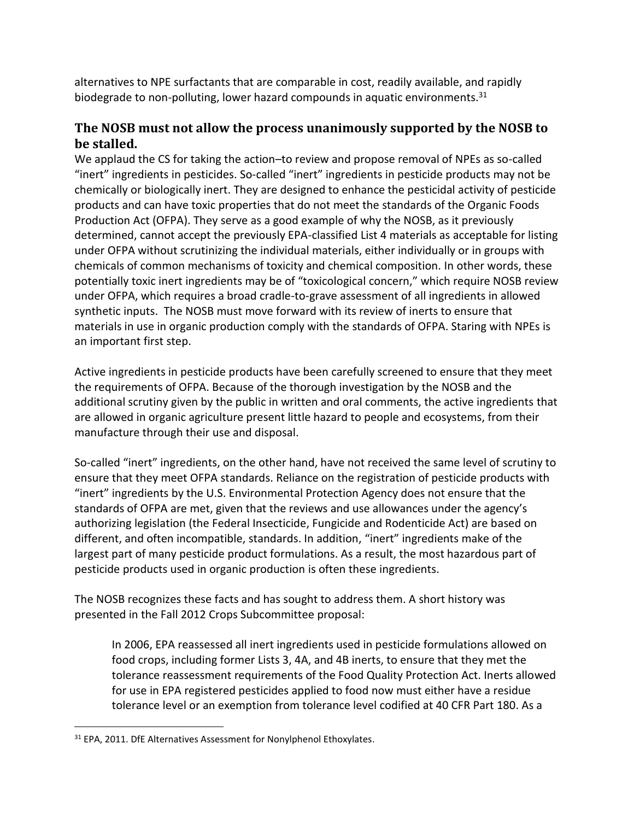alternatives to NPE surfactants that are comparable in cost, readily available, and rapidly biodegrade to non-polluting, lower hazard compounds in aquatic environments. $31$ 

### **The NOSB must not allow the process unanimously supported by the NOSB to be stalled.**

We applaud the CS for taking the action–to review and propose removal of NPEs as so-called "inert" ingredients in pesticides. So-called "inert" ingredients in pesticide products may not be chemically or biologically inert. They are designed to enhance the pesticidal activity of pesticide products and can have toxic properties that do not meet the standards of the Organic Foods Production Act (OFPA). They serve as a good example of why the NOSB, as it previously determined, cannot accept the previously EPA-classified List 4 materials as acceptable for listing under OFPA without scrutinizing the individual materials, either individually or in groups with chemicals of common mechanisms of toxicity and chemical composition. In other words, these potentially toxic inert ingredients may be of "toxicological concern," which require NOSB review under OFPA, which requires a broad cradle-to-grave assessment of all ingredients in allowed synthetic inputs. The NOSB must move forward with its review of inerts to ensure that materials in use in organic production comply with the standards of OFPA. Staring with NPEs is an important first step.

Active ingredients in pesticide products have been carefully screened to ensure that they meet the requirements of OFPA. Because of the thorough investigation by the NOSB and the additional scrutiny given by the public in written and oral comments, the active ingredients that are allowed in organic agriculture present little hazard to people and ecosystems, from their manufacture through their use and disposal.

So-called "inert" ingredients, on the other hand, have not received the same level of scrutiny to ensure that they meet OFPA standards. Reliance on the registration of pesticide products with "inert" ingredients by the U.S. Environmental Protection Agency does not ensure that the standards of OFPA are met, given that the reviews and use allowances under the agency's authorizing legislation (the Federal Insecticide, Fungicide and Rodenticide Act) are based on different, and often incompatible, standards. In addition, "inert" ingredients make of the largest part of many pesticide product formulations. As a result, the most hazardous part of pesticide products used in organic production is often these ingredients.

The NOSB recognizes these facts and has sought to address them. A short history was presented in the Fall 2012 Crops Subcommittee proposal:

In 2006, EPA reassessed all inert ingredients used in pesticide formulations allowed on food crops, including former Lists 3, 4A, and 4B inerts, to ensure that they met the tolerance reassessment requirements of the Food Quality Protection Act. Inerts allowed for use in EPA registered pesticides applied to food now must either have a residue tolerance level or an exemption from tolerance level codified at 40 CFR Part 180. As a

<sup>&</sup>lt;sup>31</sup> EPA, 2011. DfE Alternatives Assessment for Nonylphenol Ethoxylates.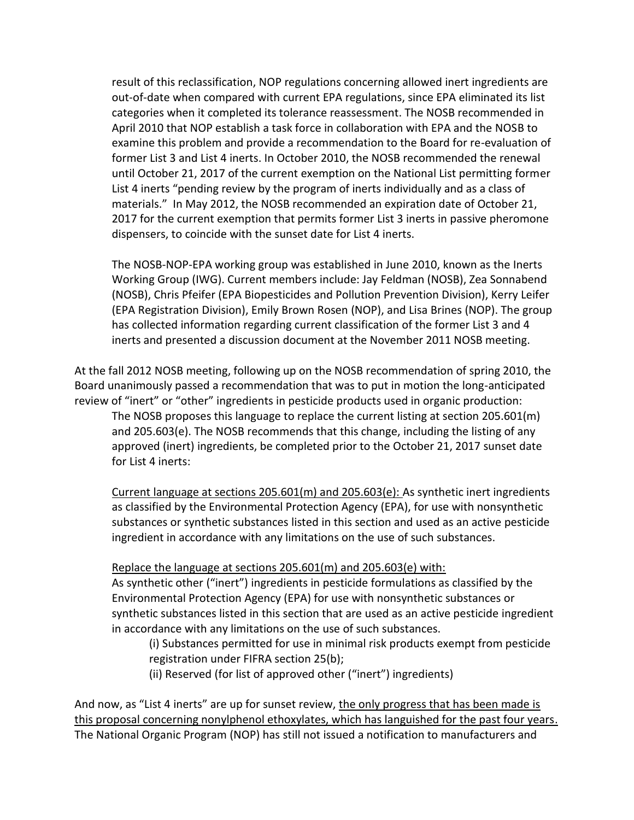result of this reclassification, NOP regulations concerning allowed inert ingredients are out-of-date when compared with current EPA regulations, since EPA eliminated its list categories when it completed its tolerance reassessment. The NOSB recommended in April 2010 that NOP establish a task force in collaboration with EPA and the NOSB to examine this problem and provide a recommendation to the Board for re-evaluation of former List 3 and List 4 inerts. In October 2010, the NOSB recommended the renewal until October 21, 2017 of the current exemption on the National List permitting former List 4 inerts "pending review by the program of inerts individually and as a class of materials." In May 2012, the NOSB recommended an expiration date of October 21, 2017 for the current exemption that permits former List 3 inerts in passive pheromone dispensers, to coincide with the sunset date for List 4 inerts.

The NOSB-NOP-EPA working group was established in June 2010, known as the Inerts Working Group (IWG). Current members include: Jay Feldman (NOSB), Zea Sonnabend (NOSB), Chris Pfeifer (EPA Biopesticides and Pollution Prevention Division), Kerry Leifer (EPA Registration Division), Emily Brown Rosen (NOP), and Lisa Brines (NOP). The group has collected information regarding current classification of the former List 3 and 4 inerts and presented a discussion document at the November 2011 NOSB meeting.

At the fall 2012 NOSB meeting, following up on the NOSB recommendation of spring 2010, the Board unanimously passed a recommendation that was to put in motion the long-anticipated review of "inert" or "other" ingredients in pesticide products used in organic production:

The NOSB proposes this language to replace the current listing at section 205.601(m) and 205.603(e). The NOSB recommends that this change, including the listing of any approved (inert) ingredients, be completed prior to the October 21, 2017 sunset date for List 4 inerts:

Current language at sections 205.601(m) and 205.603(e): As synthetic inert ingredients as classified by the Environmental Protection Agency (EPA), for use with nonsynthetic substances or synthetic substances listed in this section and used as an active pesticide ingredient in accordance with any limitations on the use of such substances.

#### Replace the language at sections 205.601(m) and 205.603(e) with:

As synthetic other ("inert") ingredients in pesticide formulations as classified by the Environmental Protection Agency (EPA) for use with nonsynthetic substances or synthetic substances listed in this section that are used as an active pesticide ingredient in accordance with any limitations on the use of such substances.

(i) Substances permitted for use in minimal risk products exempt from pesticide registration under FIFRA section 25(b);

(ii) Reserved (for list of approved other ("inert") ingredients)

And now, as "List 4 inerts" are up for sunset review, the only progress that has been made is this proposal concerning nonylphenol ethoxylates, which has languished for the past four years. The National Organic Program (NOP) has still not issued a notification to manufacturers and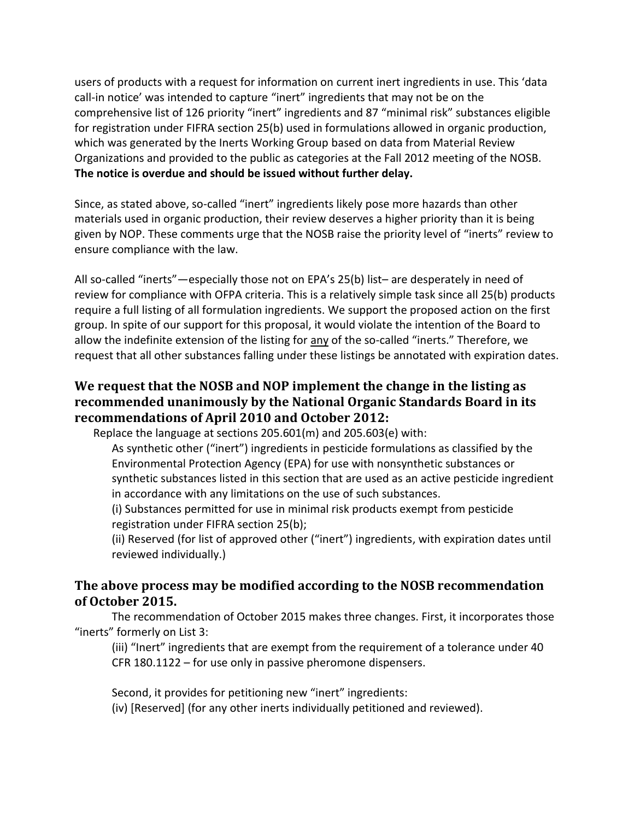users of products with a request for information on current inert ingredients in use. This 'data call-in notice' was intended to capture "inert" ingredients that may not be on the comprehensive list of 126 priority "inert" ingredients and 87 "minimal risk" substances eligible for registration under FIFRA section 25(b) used in formulations allowed in organic production, which was generated by the Inerts Working Group based on data from Material Review Organizations and provided to the public as categories at the Fall 2012 meeting of the NOSB. **The notice is overdue and should be issued without further delay.**

Since, as stated above, so-called "inert" ingredients likely pose more hazards than other materials used in organic production, their review deserves a higher priority than it is being given by NOP. These comments urge that the NOSB raise the priority level of "inerts" review to ensure compliance with the law.

All so-called "inerts"—especially those not on EPA's 25(b) list– are desperately in need of review for compliance with OFPA criteria. This is a relatively simple task since all 25(b) products require a full listing of all formulation ingredients. We support the proposed action on the first group. In spite of our support for this proposal, it would violate the intention of the Board to allow the indefinite extension of the listing for any of the so-called "inerts." Therefore, we request that all other substances falling under these listings be annotated with expiration dates.

### **We request that the NOSB and NOP implement the change in the listing as recommended unanimously by the National Organic Standards Board in its recommendations of April 2010 and October 2012:**

Replace the language at sections 205.601(m) and 205.603(e) with:

As synthetic other ("inert") ingredients in pesticide formulations as classified by the Environmental Protection Agency (EPA) for use with nonsynthetic substances or synthetic substances listed in this section that are used as an active pesticide ingredient in accordance with any limitations on the use of such substances.

(i) Substances permitted for use in minimal risk products exempt from pesticide registration under FIFRA section 25(b);

(ii) Reserved (for list of approved other ("inert") ingredients, with expiration dates until reviewed individually.)

### **The above process may be modified according to the NOSB recommendation of October 2015.**

The recommendation of October 2015 makes three changes. First, it incorporates those "inerts" formerly on List 3:

(iii) "Inert" ingredients that are exempt from the requirement of a tolerance under 40 CFR 180.1122 – for use only in passive pheromone dispensers.

Second, it provides for petitioning new "inert" ingredients: (iv) [Reserved] (for any other inerts individually petitioned and reviewed).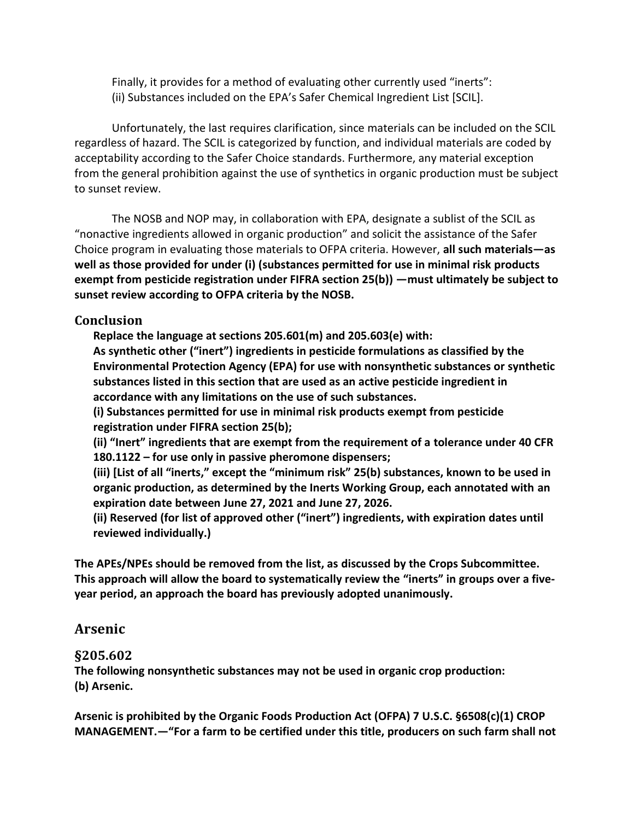Finally, it provides for a method of evaluating other currently used "inerts": (ii) Substances included on the EPA's Safer Chemical Ingredient List [SCIL].

Unfortunately, the last requires clarification, since materials can be included on the SCIL regardless of hazard. The SCIL is categorized by function, and individual materials are coded by acceptability according to the Safer Choice standards. Furthermore, any material exception from the general prohibition against the use of synthetics in organic production must be subject to sunset review.

The NOSB and NOP may, in collaboration with EPA, designate a sublist of the SCIL as "nonactive ingredients allowed in organic production" and solicit the assistance of the Safer Choice program in evaluating those materials to OFPA criteria. However, **all such materials—as well as those provided for under (i) (substances permitted for use in minimal risk products exempt from pesticide registration under FIFRA section 25(b)) —must ultimately be subject to sunset review according to OFPA criteria by the NOSB.**

### **Conclusion**

**Replace the language at sections 205.601(m) and 205.603(e) with:** 

**As synthetic other ("inert") ingredients in pesticide formulations as classified by the Environmental Protection Agency (EPA) for use with nonsynthetic substances or synthetic substances listed in this section that are used as an active pesticide ingredient in accordance with any limitations on the use of such substances.** 

**(i) Substances permitted for use in minimal risk products exempt from pesticide registration under FIFRA section 25(b);** 

**(ii) "Inert" ingredients that are exempt from the requirement of a tolerance under 40 CFR 180.1122 – for use only in passive pheromone dispensers;**

**(iii) [List of all "inerts," except the "minimum risk" 25(b) substances, known to be used in organic production, as determined by the Inerts Working Group, each annotated with an expiration date between June 27, 2021 and June 27, 2026.**

**(ii) Reserved (for list of approved other ("inert") ingredients, with expiration dates until reviewed individually.)** 

**The APEs/NPEs should be removed from the list, as discussed by the Crops Subcommittee. This approach will allow the board to systematically review the "inerts" in groups over a fiveyear period, an approach the board has previously adopted unanimously.** 

## **Arsenic**

### **§205.602**

**The following nonsynthetic substances may not be used in organic crop production: (b) Arsenic.** 

**Arsenic is prohibited by the Organic Foods Production Act (OFPA) 7 U.S.C. §6508(c)(1) CROP MANAGEMENT.—"For a farm to be certified under this title, producers on such farm shall not**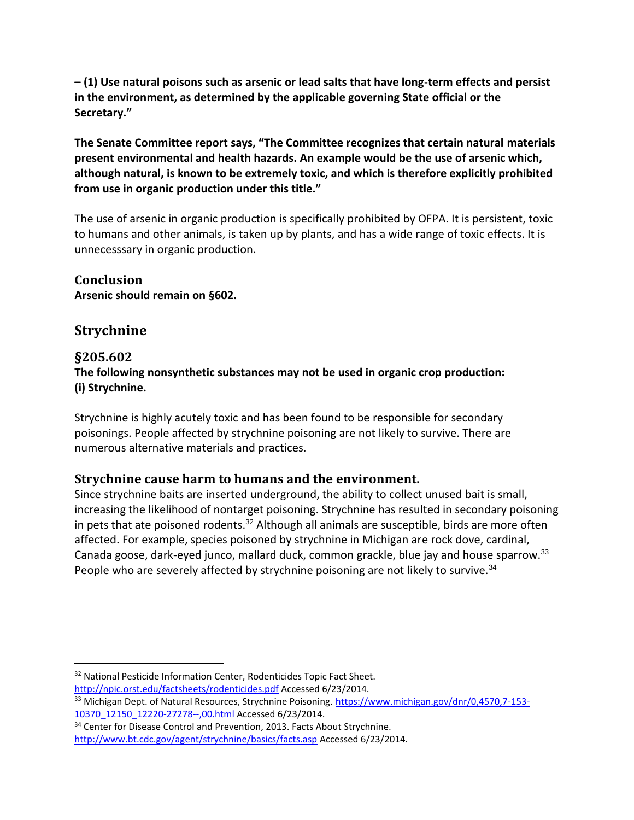**– (1) Use natural poisons such as arsenic or lead salts that have long-term effects and persist in the environment, as determined by the applicable governing State official or the Secretary."** 

**The Senate Committee report says, "The Committee recognizes that certain natural materials present environmental and health hazards. An example would be the use of arsenic which, although natural, is known to be extremely toxic, and which is therefore explicitly prohibited from use in organic production under this title."**

The use of arsenic in organic production is specifically prohibited by OFPA. It is persistent, toxic to humans and other animals, is taken up by plants, and has a wide range of toxic effects. It is unnecesssary in organic production.

**Conclusion Arsenic should remain on §602.**

# **Strychnine**

### **§205.602**

**The following nonsynthetic substances may not be used in organic crop production: (i) Strychnine.**

Strychnine is highly acutely toxic and has been found to be responsible for secondary poisonings. People affected by strychnine poisoning are not likely to survive. There are numerous alternative materials and practices.

### **Strychnine cause harm to humans and the environment.**

Since strychnine baits are inserted underground, the ability to collect unused bait is small, increasing the likelihood of nontarget poisoning. Strychnine has resulted in secondary poisoning in pets that ate poisoned rodents.<sup>32</sup> Although all animals are susceptible, birds are more often affected. For example, species poisoned by strychnine in Michigan are rock dove, cardinal, Canada goose, dark-eyed junco, mallard duck, common grackle, blue jay and house sparrow.<sup>33</sup> People who are severely affected by strychnine poisoning are not likely to survive. $34$ 

 $\overline{a}$ <sup>32</sup> National Pesticide Information Center, Rodenticides Topic Fact Sheet.

<http://npic.orst.edu/factsheets/rodenticides.pdf> Accessed 6/23/2014.

<sup>&</sup>lt;sup>33</sup> Michigan Dept. of Natural Resources, Strychnine Poisoning. [https://www.michigan.gov/dnr/0,4570,7-153-](https://www.michigan.gov/dnr/0,4570,7-153-10370_12150_12220-27278--,00.html) [10370\\_12150\\_12220-27278--,00.html](https://www.michigan.gov/dnr/0,4570,7-153-10370_12150_12220-27278--,00.html) Accessed 6/23/2014.

<sup>&</sup>lt;sup>34</sup> Center for Disease Control and Prevention, 2013. Facts About Strychnine.

<http://www.bt.cdc.gov/agent/strychnine/basics/facts.asp> Accessed 6/23/2014.